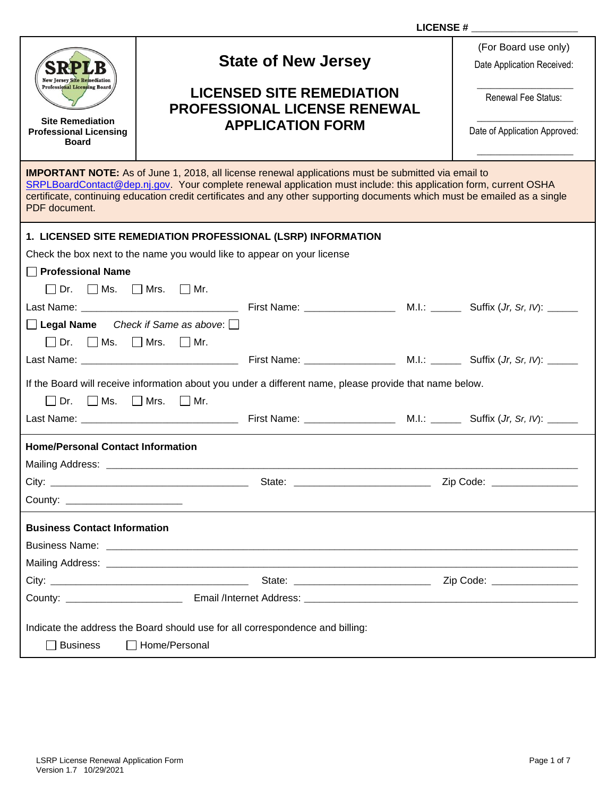| <b>New Jersey Site Remediation</b>                                                                                                                                                                                                                                                                                                                                            | <b>State of New Jersey</b>                                              |                                                                                                         | (For Board use only)<br>Date Application Received: |                            |  |  |
|-------------------------------------------------------------------------------------------------------------------------------------------------------------------------------------------------------------------------------------------------------------------------------------------------------------------------------------------------------------------------------|-------------------------------------------------------------------------|---------------------------------------------------------------------------------------------------------|----------------------------------------------------|----------------------------|--|--|
| <b>Professional Licensing Board</b><br><b>Site Remediation</b>                                                                                                                                                                                                                                                                                                                | <b>LICENSED SITE REMEDIATION</b><br><b>PROFESSIONAL LICENSE RENEWAL</b> |                                                                                                         |                                                    | Renewal Fee Status:        |  |  |
| <b>Professional Licensing</b><br><b>Board</b>                                                                                                                                                                                                                                                                                                                                 |                                                                         | <b>APPLICATION FORM</b>                                                                                 |                                                    |                            |  |  |
| <b>IMPORTANT NOTE:</b> As of June 1, 2018, all license renewal applications must be submitted via email to<br>SRPLBoardContact@dep.nj.gov. Your complete renewal application must include: this application form, current OSHA<br>certificate, continuing education credit certificates and any other supporting documents which must be emailed as a single<br>PDF document. |                                                                         |                                                                                                         |                                                    |                            |  |  |
|                                                                                                                                                                                                                                                                                                                                                                               |                                                                         | 1. LICENSED SITE REMEDIATION PROFESSIONAL (LSRP) INFORMATION                                            |                                                    |                            |  |  |
| Check the box next to the name you would like to appear on your license                                                                                                                                                                                                                                                                                                       |                                                                         |                                                                                                         |                                                    |                            |  |  |
| <b>Professional Name</b>                                                                                                                                                                                                                                                                                                                                                      |                                                                         |                                                                                                         |                                                    |                            |  |  |
| $\Box$ Dr. $\Box$ Ms. $\Box$ Mrs. $\Box$ Mr.                                                                                                                                                                                                                                                                                                                                  |                                                                         |                                                                                                         |                                                    |                            |  |  |
|                                                                                                                                                                                                                                                                                                                                                                               |                                                                         |                                                                                                         |                                                    |                            |  |  |
| $\Box$ Legal Name Check if Same as above: $\Box$                                                                                                                                                                                                                                                                                                                              |                                                                         |                                                                                                         |                                                    |                            |  |  |
| $\Box$ Dr. $\Box$ Ms. $\Box$ Mrs. $\Box$ Mr.                                                                                                                                                                                                                                                                                                                                  |                                                                         |                                                                                                         |                                                    |                            |  |  |
|                                                                                                                                                                                                                                                                                                                                                                               |                                                                         |                                                                                                         |                                                    |                            |  |  |
|                                                                                                                                                                                                                                                                                                                                                                               |                                                                         | If the Board will receive information about you under a different name, please provide that name below. |                                                    |                            |  |  |
| $\Box$ Dr. $\Box$ Ms. $\Box$ Mrs. $\Box$ Mr.                                                                                                                                                                                                                                                                                                                                  |                                                                         |                                                                                                         |                                                    |                            |  |  |
|                                                                                                                                                                                                                                                                                                                                                                               |                                                                         |                                                                                                         |                                                    |                            |  |  |
| <b>Home/Personal Contact Information</b>                                                                                                                                                                                                                                                                                                                                      |                                                                         |                                                                                                         |                                                    |                            |  |  |
|                                                                                                                                                                                                                                                                                                                                                                               |                                                                         |                                                                                                         |                                                    |                            |  |  |
|                                                                                                                                                                                                                                                                                                                                                                               |                                                                         |                                                                                                         |                                                    | Zip Code: ________________ |  |  |
| County: ________________________                                                                                                                                                                                                                                                                                                                                              |                                                                         |                                                                                                         |                                                    |                            |  |  |
| <b>Business Contact Information</b>                                                                                                                                                                                                                                                                                                                                           |                                                                         |                                                                                                         |                                                    |                            |  |  |
|                                                                                                                                                                                                                                                                                                                                                                               |                                                                         |                                                                                                         |                                                    |                            |  |  |
|                                                                                                                                                                                                                                                                                                                                                                               |                                                                         |                                                                                                         |                                                    |                            |  |  |
|                                                                                                                                                                                                                                                                                                                                                                               |                                                                         |                                                                                                         |                                                    |                            |  |  |
|                                                                                                                                                                                                                                                                                                                                                                               |                                                                         |                                                                                                         |                                                    |                            |  |  |
| Indicate the address the Board should use for all correspondence and billing:                                                                                                                                                                                                                                                                                                 |                                                                         |                                                                                                         |                                                    |                            |  |  |
| Home/Personal<br><b>Business</b>                                                                                                                                                                                                                                                                                                                                              |                                                                         |                                                                                                         |                                                    |                            |  |  |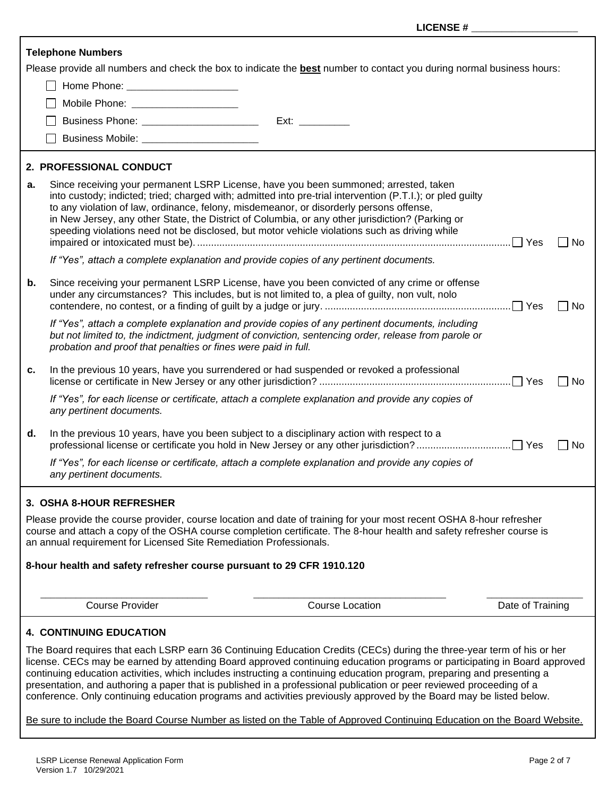|    | <b>Telephone Numbers</b>                                                                   |                                                                                                                                                                                                                                                                                                                                                                                                                                                                                                                                                                                                                             |                  |           |
|----|--------------------------------------------------------------------------------------------|-----------------------------------------------------------------------------------------------------------------------------------------------------------------------------------------------------------------------------------------------------------------------------------------------------------------------------------------------------------------------------------------------------------------------------------------------------------------------------------------------------------------------------------------------------------------------------------------------------------------------------|------------------|-----------|
|    |                                                                                            | Please provide all numbers and check the box to indicate the <b>best</b> number to contact you during normal business hours:                                                                                                                                                                                                                                                                                                                                                                                                                                                                                                |                  |           |
|    |                                                                                            |                                                                                                                                                                                                                                                                                                                                                                                                                                                                                                                                                                                                                             |                  |           |
|    | Mobile Phone: ______________________                                                       |                                                                                                                                                                                                                                                                                                                                                                                                                                                                                                                                                                                                                             |                  |           |
|    |                                                                                            | Ext:                                                                                                                                                                                                                                                                                                                                                                                                                                                                                                                                                                                                                        |                  |           |
|    |                                                                                            |                                                                                                                                                                                                                                                                                                                                                                                                                                                                                                                                                                                                                             |                  |           |
|    | 2. PROFESSIONAL CONDUCT                                                                    |                                                                                                                                                                                                                                                                                                                                                                                                                                                                                                                                                                                                                             |                  |           |
| а. | to any violation of law, ordinance, felony, misdemeanor, or disorderly persons offense,    | Since receiving your permanent LSRP License, have you been summoned; arrested, taken<br>into custody; indicted; tried; charged with; admitted into pre-trial intervention (P.T.I.); or pled guilty<br>in New Jersey, any other State, the District of Columbia, or any other jurisdiction? (Parking or<br>speeding violations need not be disclosed, but motor vehicle violations such as driving while                                                                                                                                                                                                                     |                  | <b>No</b> |
|    | If "Yes", attach a complete explanation and provide copies of any pertinent documents.     |                                                                                                                                                                                                                                                                                                                                                                                                                                                                                                                                                                                                                             |                  |           |
| b. |                                                                                            | Since receiving your permanent LSRP License, have you been convicted of any crime or offense<br>under any circumstances? This includes, but is not limited to, a plea of guilty, non vult, nolo                                                                                                                                                                                                                                                                                                                                                                                                                             |                  | ∩ No      |
|    | probation and proof that penalties or fines were paid in full.                             | If "Yes", attach a complete explanation and provide copies of any pertinent documents, including<br>but not limited to, the indictment, judgment of conviction, sentencing order, release from parole or                                                                                                                                                                                                                                                                                                                                                                                                                    |                  |           |
| c. |                                                                                            | In the previous 10 years, have you surrendered or had suspended or revoked a professional                                                                                                                                                                                                                                                                                                                                                                                                                                                                                                                                   |                  | l INo     |
|    | any pertinent documents.                                                                   | If "Yes", for each license or certificate, attach a complete explanation and provide any copies of                                                                                                                                                                                                                                                                                                                                                                                                                                                                                                                          |                  |           |
| d. | In the previous 10 years, have you been subject to a disciplinary action with respect to a |                                                                                                                                                                                                                                                                                                                                                                                                                                                                                                                                                                                                                             |                  | No        |
|    | any pertinent documents.                                                                   | If "Yes", for each license or certificate, attach a complete explanation and provide any copies of                                                                                                                                                                                                                                                                                                                                                                                                                                                                                                                          |                  |           |
|    | 3. OSHA 8-HOUR REFRESHER                                                                   |                                                                                                                                                                                                                                                                                                                                                                                                                                                                                                                                                                                                                             |                  |           |
|    | an annual requirement for Licensed Site Remediation Professionals.                         | Please provide the course provider, course location and date of training for your most recent OSHA 8-hour refresher<br>course and attach a copy of the OSHA course completion certificate. The 8-hour health and safety refresher course is                                                                                                                                                                                                                                                                                                                                                                                 |                  |           |
|    | 8-hour health and safety refresher course pursuant to 29 CFR 1910.120                      |                                                                                                                                                                                                                                                                                                                                                                                                                                                                                                                                                                                                                             |                  |           |
|    | <b>Course Provider</b>                                                                     | <b>Course Location</b>                                                                                                                                                                                                                                                                                                                                                                                                                                                                                                                                                                                                      | Date of Training |           |
|    | <b>4. CONTINUING EDUCATION</b>                                                             |                                                                                                                                                                                                                                                                                                                                                                                                                                                                                                                                                                                                                             |                  |           |
|    |                                                                                            | The Board requires that each LSRP earn 36 Continuing Education Credits (CECs) during the three-year term of his or her<br>license. CECs may be earned by attending Board approved continuing education programs or participating in Board approved<br>continuing education activities, which includes instructing a continuing education program, preparing and presenting a<br>presentation, and authoring a paper that is published in a professional publication or peer reviewed proceeding of a<br>conference. Only continuing education programs and activities previously approved by the Board may be listed below. |                  |           |

Be sure to include the Board Course Number as listed on the Table of Approved Continuing Education on the Board Website.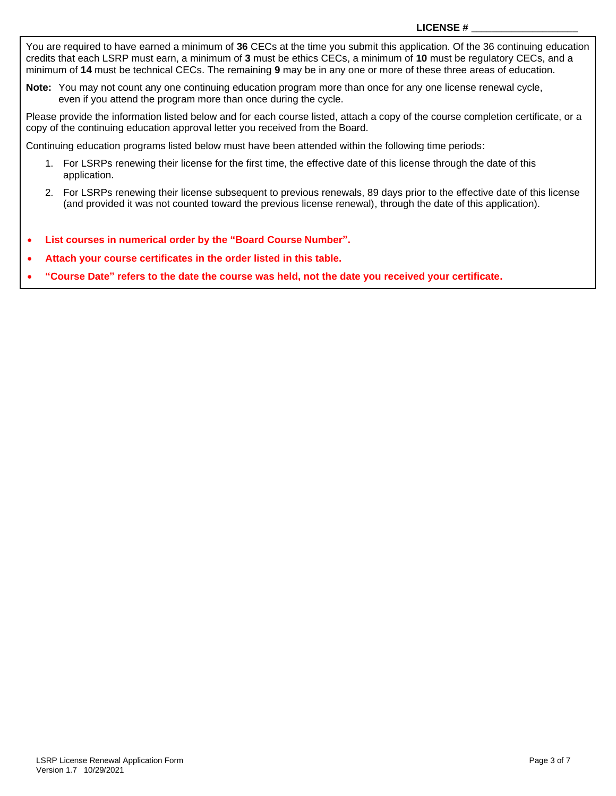You are required to have earned a minimum of **36** CECs at the time you submit this application. Of the 36 continuing education credits that each LSRP must earn, a minimum of **3** must be ethics CECs, a minimum of **10** must be regulatory CECs, and a minimum of **14** must be technical CECs. The remaining **9** may be in any one or more of these three areas of education.

**Note:** You may not count any one continuing education program more than once for any one license renewal cycle, even if you attend the program more than once during the cycle.

Please provide the information listed below and for each course listed, attach a copy of the course completion certificate, or a copy of the continuing education approval letter you received from the Board.

Continuing education programs listed below must have been attended within the following time periods:

- 1. For LSRPs renewing their license for the first time, the effective date of this license through the date of this application.
- 2. For LSRPs renewing their license subsequent to previous renewals, 89 days prior to the effective date of this license (and provided it was not counted toward the previous license renewal), through the date of this application).
- **List courses in numerical order by the "Board Course Number".**
- **Attach your course certificates in the order listed in this table.**
- **"Course Date" refers to the date the course was held, not the date you received your certificate.**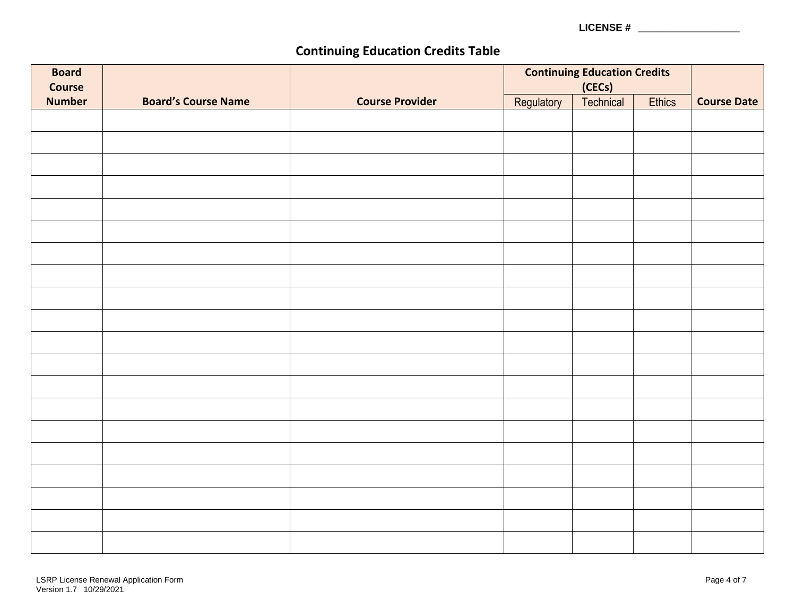**LICENSE #** \_\_\_\_\_\_\_\_\_\_\_\_\_\_\_\_\_\_\_\_

# **Continuing Education Credits Table**

| <b>Board</b><br><b>Course</b> |                            |                        | <b>Continuing Education Credits</b><br>(CECs) |           |               |                    |
|-------------------------------|----------------------------|------------------------|-----------------------------------------------|-----------|---------------|--------------------|
| <b>Number</b>                 | <b>Board's Course Name</b> | <b>Course Provider</b> | Regulatory                                    | Technical | <b>Ethics</b> | <b>Course Date</b> |
|                               |                            |                        |                                               |           |               |                    |
|                               |                            |                        |                                               |           |               |                    |
|                               |                            |                        |                                               |           |               |                    |
|                               |                            |                        |                                               |           |               |                    |
|                               |                            |                        |                                               |           |               |                    |
|                               |                            |                        |                                               |           |               |                    |
|                               |                            |                        |                                               |           |               |                    |
|                               |                            |                        |                                               |           |               |                    |
|                               |                            |                        |                                               |           |               |                    |
|                               |                            |                        |                                               |           |               |                    |
|                               |                            |                        |                                               |           |               |                    |
|                               |                            |                        |                                               |           |               |                    |
|                               |                            |                        |                                               |           |               |                    |
|                               |                            |                        |                                               |           |               |                    |
|                               |                            |                        |                                               |           |               |                    |
|                               |                            |                        |                                               |           |               |                    |
|                               |                            |                        |                                               |           |               |                    |
|                               |                            |                        |                                               |           |               |                    |
|                               |                            |                        |                                               |           |               |                    |
|                               |                            |                        |                                               |           |               |                    |
|                               |                            |                        |                                               |           |               |                    |
|                               |                            |                        |                                               |           |               |                    |
|                               |                            |                        |                                               |           |               |                    |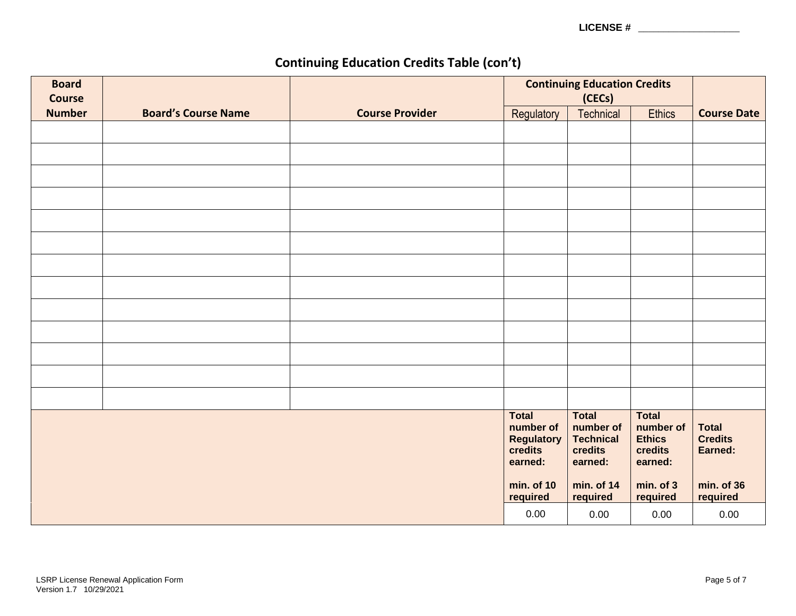**LICENSE #** \_\_\_\_\_\_\_\_\_\_\_\_\_\_\_\_\_\_\_\_

# **Continuing Education Credits Table (con't)**

| <b>Board</b><br><b>Course</b> |                            |                        |                                                                                                | <b>Continuing Education Credits</b><br>(CECs)                                                 |                                                                                           |                                                                     |
|-------------------------------|----------------------------|------------------------|------------------------------------------------------------------------------------------------|-----------------------------------------------------------------------------------------------|-------------------------------------------------------------------------------------------|---------------------------------------------------------------------|
| <b>Number</b>                 | <b>Board's Course Name</b> | <b>Course Provider</b> | Regulatory                                                                                     | <b>Technical</b>                                                                              | <b>Ethics</b>                                                                             | <b>Course Date</b>                                                  |
|                               |                            |                        |                                                                                                |                                                                                               |                                                                                           |                                                                     |
|                               |                            |                        |                                                                                                |                                                                                               |                                                                                           |                                                                     |
|                               |                            |                        |                                                                                                |                                                                                               |                                                                                           |                                                                     |
|                               |                            |                        |                                                                                                |                                                                                               |                                                                                           |                                                                     |
|                               |                            |                        |                                                                                                |                                                                                               |                                                                                           |                                                                     |
|                               |                            |                        |                                                                                                |                                                                                               |                                                                                           |                                                                     |
|                               |                            |                        |                                                                                                |                                                                                               |                                                                                           |                                                                     |
|                               |                            |                        |                                                                                                |                                                                                               |                                                                                           |                                                                     |
|                               |                            |                        |                                                                                                |                                                                                               |                                                                                           |                                                                     |
|                               |                            |                        |                                                                                                |                                                                                               |                                                                                           |                                                                     |
|                               |                            |                        |                                                                                                |                                                                                               |                                                                                           |                                                                     |
|                               |                            |                        |                                                                                                |                                                                                               |                                                                                           |                                                                     |
|                               |                            |                        |                                                                                                |                                                                                               |                                                                                           |                                                                     |
|                               |                            |                        |                                                                                                |                                                                                               |                                                                                           |                                                                     |
|                               |                            |                        |                                                                                                |                                                                                               |                                                                                           |                                                                     |
|                               |                            |                        | <b>Total</b><br>number of<br><b>Regulatory</b><br>credits<br>earned:<br>min. of 10<br>required | <b>Total</b><br>number of<br><b>Technical</b><br>credits<br>earned:<br>min. of 14<br>required | <b>Total</b><br>number of<br><b>Ethics</b><br>credits<br>earned:<br>min. of 3<br>required | <b>Total</b><br><b>Credits</b><br>Earned:<br>min. of 36<br>required |
|                               |                            |                        | 0.00                                                                                           | 0.00                                                                                          | 0.00                                                                                      | 0.00                                                                |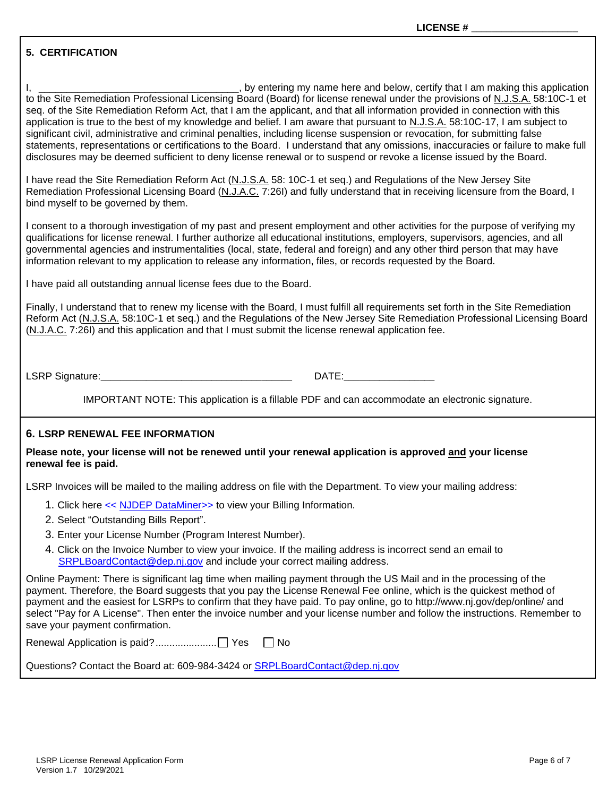## **5. CERTIFICATION**

I, \_\_\_\_\_\_\_\_\_\_\_\_\_\_\_\_\_\_\_\_\_\_\_\_\_\_\_\_\_\_\_\_\_\_, by entering my name here and below, certify that I am making this application to the Site Remediation Professional Licensing Board (Board) for license renewal under the provisions of N.J.S.A. 58:10C-1 et seq. of the Site Remediation Reform Act, that I am the applicant, and that all information provided in connection with this application is true to the best of my knowledge and belief. I am aware that pursuant to N.J.S.A. 58:10C-17, I am subject to significant civil, administrative and criminal penalties, including license suspension or revocation, for submitting false statements, representations or certifications to the Board. I understand that any omissions, inaccuracies or failure to make full disclosures may be deemed sufficient to deny license renewal or to suspend or revoke a license issued by the Board.

I have read the Site Remediation Reform Act (N.J.S.A. 58: 10C-1 et seq.) and Regulations of the New Jersey Site Remediation Professional Licensing Board (N.J.A.C. 7:26I) and fully understand that in receiving licensure from the Board, I bind myself to be governed by them.

I consent to a thorough investigation of my past and present employment and other activities for the purpose of verifying my qualifications for license renewal. I further authorize all educational institutions, employers, supervisors, agencies, and all governmental agencies and instrumentalities (local, state, federal and foreign) and any other third person that may have information relevant to my application to release any information, files, or records requested by the Board.

I have paid all outstanding annual license fees due to the Board.

Finally, I understand that to renew my license with the Board, I must fulfill all requirements set forth in the Site Remediation Reform Act (N.J.S.A. 58:10C-1 et seq.) and the Regulations of the New Jersey Site Remediation Professional Licensing Board (N.J.A.C. 7:26I) and this application and that I must submit the license renewal application fee.

LSRP Signature:\_\_\_\_\_\_\_\_\_\_\_\_\_\_\_\_\_\_\_\_\_\_\_\_\_\_\_\_\_\_\_\_\_\_\_\_\_\_ DATE:\_\_\_\_\_\_\_\_\_\_\_\_\_\_\_\_\_\_

IMPORTANT NOTE: This application is a fillable PDF and can accommodate an electronic signature.

### **6. LSRP RENEWAL FEE INFORMATION**

**Please note, your license will not be renewed until your renewal application is approved and your license renewal fee is paid.**

LSRP Invoices will be mailed to the mailing address on file with the Department. To view your mailing address:

- 1. Click here << NJDEP [DataMiner>](https://www13.state.nj.us/DataMiner/Search/SearchByCategory?isExternal=y&getCategory=y&catName=Billing+Information)> to view your Billing Information.
- 2. Select "Outstanding Bills Report".
- 3. Enter your License Number (Program Interest Number).
- 4. Click on the Invoice Number to view your invoice. If the mailing address is incorrect send an email to [SRPLBoardContact@dep.nj.gov](mailto:SRPLBoardContact@dep.nj.gov) and include your correct mailing address.

Online Payment: There is significant lag time when mailing payment through the US Mail and in the processing of the payment. Therefore, the Board suggests that you pay the License Renewal Fee online, which is the quickest method of payment and the easiest for LSRPs to confirm that they have paid. To pay online, go to http://www.nj.gov/dep/online/ and select "Pay for A License". Then enter the invoice number and your license number and follow the instructions. Remember to save your payment confirmation.

Renewal Application is paid?...................... Yes No

Questions? Contact the Board at: 609-984-3424 or [SRPLBoardContact@dep.nj.gov](mailto:SRPLBoardContact@dep.nj.gov)